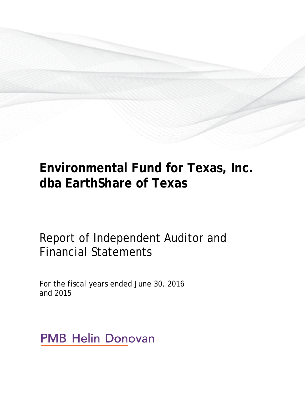# **Environmental Fund for Texas, Inc. dba EarthShare of Texas**

Report of Independent Auditor and Financial Statements

For the fiscal years ended June 30, 2016 and 2015

**PMB Helin Donovan**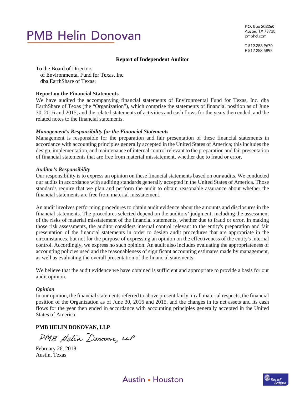# **PMB Helin Donovan**

P.O. Box 202260 Austin, TX 78720 pmbhd.com

T 512.258.9670 F 512.258.5895

#### **Report of Independent Auditor**

To the Board of Directors of Environmental Fund for Texas, Inc dba EarthShare of Texas:

# **Report on the Financial Statements**

We have audited the accompanying financial statements of Environmental Fund for Texas, Inc. dba EarthShare of Texas (the "Organization"), which comprise the statements of financial position as of June 30, 2016 and 2015, and the related statements of activities and cash flows for the years then ended, and the related notes to the financial statements.

#### *Management's Responsibility for the Financial Statements*

Management is responsible for the preparation and fair presentation of these financial statements in accordance with accounting principles generally accepted in the United States of America; this includes the design, implementation, and maintenance of internal control relevant to the preparation and fair presentation of financial statements that are free from material misstatement, whether due to fraud or error.

#### *Auditor's Responsibility*

Our responsibility is to express an opinion on these financial statements based on our audits. We conducted our audits in accordance with auditing standards generally accepted in the United States of America. Those standards require that we plan and perform the audit to obtain reasonable assurance about whether the financial statements are free from material misstatement.

An audit involves performing procedures to obtain audit evidence about the amounts and disclosures in the financial statements. The procedures selected depend on the auditors' judgment, including the assessment of the risks of material misstatement of the financial statements, whether due to fraud or error. In making those risk assessments, the auditor considers internal control relevant to the entity's preparation and fair presentation of the financial statements in order to design audit procedures that are appropriate in the circumstances, but not for the purpose of expressing an opinion on the effectiveness of the entity's internal control. Accordingly, we express no such opinion. An audit also includes evaluating the appropriateness of accounting policies used and the reasonableness of significant accounting estimates made by management, as well as evaluating the overall presentation of the financial statements.

We believe that the audit evidence we have obtained is sufficient and appropriate to provide a basis for our audit opinion.

#### *Opinion*

In our opinion, the financial statements referred to above present fairly, in all material respects, the financial position of the Organization as of June 30, 2016 and 2015, and the changes in its net assets and its cash flows for the year then ended in accordance with accounting principles generally accepted in the United States of America.

# **PMB HELIN DONOVAN, LLP**

PMB Helin Donovan, LLP

February 26, 2018 Austin, Texas



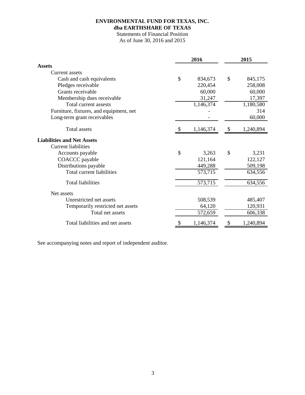# **ENVIRONMENTAL FUND FOR TEXAS, INC. dba EARTHSHARE OF TEXAS**

# Statements of Financial Position

As of June 30, 2016 and 2015

|                                         | 2016 |           | 2015 |           |  |
|-----------------------------------------|------|-----------|------|-----------|--|
| <b>Assets</b>                           |      |           |      |           |  |
| <b>Current assets</b>                   |      |           |      |           |  |
| Cash and cash equivalents               | \$   | 834,673   | \$   | 845,175   |  |
| Pledges receivable                      |      | 220,454   |      | 258,008   |  |
| Grants receivable                       |      | 60,000    |      | 60,000    |  |
| Membership dues receivable              |      | 31,247    |      | 17,397    |  |
| Total current assests                   |      | 1,146,374 |      | 1,180,580 |  |
| Furniture, fixtures, and equipment, net |      |           |      | 314       |  |
| Long-term grant receivables             |      |           |      | 60,000    |  |
| <b>Total assets</b>                     |      | 1,146,374 | \$   | 1,240,894 |  |
| <b>Liabilities and Net Assets</b>       |      |           |      |           |  |
| <b>Current liabilities</b>              |      |           |      |           |  |
| Accounts payable                        | \$   | 3,263     | \$   | 3,231     |  |
| COACCC payable                          |      | 121,164   |      | 122,127   |  |
| Distributions payable                   |      | 449,288   |      | 509,198   |  |
| Total current liabilities               |      | 573,715   |      | 634,556   |  |
| <b>Total liabilities</b>                |      | 573,715   |      | 634,556   |  |
| Net assets                              |      |           |      |           |  |
| Unrestricted net assets                 |      | 508,539   |      | 485,407   |  |
| Temporarily restricted net assets       |      | 64,120    |      | 120,931   |  |
| Total net assets                        |      | 572,659   |      | 606,338   |  |
| Total liabilities and net assets        |      | 1,146,374 | S    | 1,240,894 |  |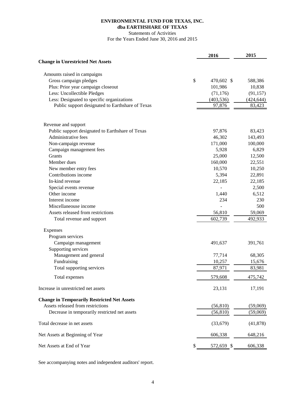# **ENVIRONMENTAL FUND FOR TEXAS, INC. dba EARTHSHARE OF TEXAS**

Statements of Activities

For the Years Ended June 30, 2016 and 2015

|                                                    | 2016             | 2015       |
|----------------------------------------------------|------------------|------------|
| <b>Change in Unrestricted Net Assets</b>           |                  |            |
| Amounts raised in campaigns                        |                  |            |
| Gross campaign pledges                             | \$<br>470,602 \$ | 588,386    |
| Plus: Prior year campaign closeout                 | 101,986          | 10,838     |
| Less: Uncollectible Pledges                        | (71, 176)        | (91, 157)  |
| Less: Designated to specific organizations         | (403, 536)       | (424, 644) |
| Public support designated to Earthshare of Texas   | 97,876           | 83,423     |
| Revenue and support                                |                  |            |
| Public support designated to Earthshare of Texas   | 97,876           | 83,423     |
| Administrative fees                                | 46,302           | 143,493    |
| Non-campaign revenue                               | 171,000          | 100,000    |
| Campaign management fees                           | 5,928            | 6,829      |
| <b>Grants</b>                                      | 25,000           | 12,500     |
| Member dues                                        | 160,000          | 22,551     |
| New member entry fees                              | 10,570           | 10,250     |
| Contributions income                               | 5,394            | 22,891     |
| In-kind revenue                                    | 22,185           | 22,185     |
| Special events revenue                             |                  | 2,500      |
| Other income                                       | 1,440            | 6,512      |
| Interest income                                    | 234              | 230        |
| Miscellaneouse income                              |                  | 500        |
| Assets released from restrictions                  | 56,810           | 59,069     |
| Total revenue and support                          | 602,739          | 492,933    |
| Expenses                                           |                  |            |
| Program services                                   |                  |            |
| Campaign management                                | 491,637          | 391,761    |
| Supporting services                                |                  |            |
| Management and general                             | 77,714           | 68,305     |
| Fundraising                                        | 10,257           | 15,676     |
| Total supporting services                          | 87,971           | 83,981     |
| Total expenses                                     | 579,608          | 475,742    |
| Increase in unrestricted net assets                | 23,131           | 17,191     |
| <b>Change in Temporarily Restricted Net Assets</b> |                  |            |
| Assets released from restrictions                  | (56, 810)        | (59,069)   |
| Decrease in temporarily restricted net assets      | (56, 810)        | (59,069)   |
| Total decrease in net assets                       | (33,679)         | (41,878)   |
| Net Assets at Beginning of Year                    | 606,338          | 648,216    |
| Net Assets at End of Year                          | 572,659 \$       | 606,338    |

See accompanying notes and independent auditors' report.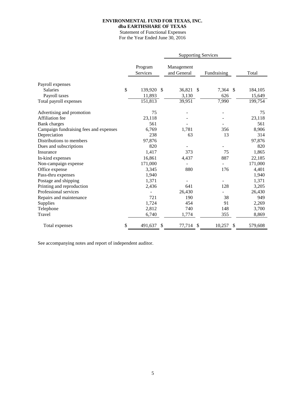# **ENVIRONMENTAL FUND FOR TEXAS, INC.**

**dba EARTHSHARE OF TEXAS**

 Statement of Functional Expenses For the Year Ended June 30, 2016

|                                        |                     | <b>Supporting Services</b> |    |                          |         |
|----------------------------------------|---------------------|----------------------------|----|--------------------------|---------|
|                                        | Program<br>Services | Management<br>and General  |    | Fundraising              | Total   |
| Payroll expenses                       |                     |                            |    |                          |         |
| <b>Salaries</b>                        | \$<br>139,920       | \$<br>36,821 \$            |    | 7,364<br>-\$             | 184,105 |
| Payroll taxes                          | 11,893              | 3,130                      |    | 626                      | 15,649  |
| Total payroll expenses                 | 151,813             | 39,951                     |    | 7,990                    | 199,754 |
| Advertising and promotion              | 75                  |                            |    |                          | 75      |
| Affiliation fee                        | 23,118              |                            |    |                          | 23,118  |
| Bank charges                           | 561                 |                            |    |                          | 561     |
| Campaign fundraising fees and expenses | 6,769               | 1,781                      |    | 356                      | 8,906   |
| Depreciation                           | 238                 | 63                         |    | 13                       | 314     |
| Distributions to members               | 97,876              |                            |    |                          | 97,876  |
| Dues and subscriptions                 | 820                 |                            |    |                          | 820     |
| Insurance                              | 1,417               | 373                        |    | 75                       | 1,865   |
| In-kind expenses                       | 16,861              | 4,437                      |    | 887                      | 22,185  |
| Non-campaign expense                   | 171,000             |                            |    | $\overline{\phantom{0}}$ | 171,000 |
| Office expense                         | 3,345               | 880                        |    | 176                      | 4,401   |
| Pass-thru expenses                     | 1,940               |                            |    |                          | 1,940   |
| Postage and shipping                   | 1,371               | ÷                          |    |                          | 1,371   |
| Printing and reproduction              | 2,436               | 641                        |    | 128                      | 3,205   |
| Professional services                  |                     | 26,430                     |    |                          | 26,430  |
| Repairs and maintenance                | 721                 | 190                        |    | 38                       | 949     |
| Supplies                               | 1,724               | 454                        |    | 91                       | 2,269   |
| Telephone                              | 2,812               | 740                        |    | 148                      | 3,700   |
| Travel                                 | 6,740               | 1,774                      |    | 355                      | 8,869   |
| Total expenses                         | \$<br>491,637       | \$<br>77,714               | \$ | 10,257<br>\$             | 579,608 |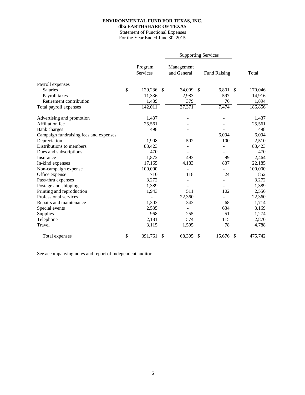# **ENVIRONMENTAL FUND FOR TEXAS, INC.**

**dba EARTHSHARE OF TEXAS**

 Statement of Functional Expenses For the Year Ended June 30, 2015

|                                        |                     | <b>Supporting Services</b> |    |                     |         |
|----------------------------------------|---------------------|----------------------------|----|---------------------|---------|
|                                        | Program<br>Services | Management<br>and General  |    | <b>Fund Raising</b> | Total   |
| Payroll expenses                       |                     |                            |    |                     |         |
| <b>Salaries</b>                        | \$<br>129,236 \$    | 34,009 \$                  |    | 6,801 \$            | 170,046 |
| Payroll taxes                          | 11,336              | 2,983                      |    | 597                 | 14,916  |
| Retirement contribution                | 1,439               | 379                        |    | 76                  | 1,894   |
| Total payroll expenses                 | 142,011             | 37,371                     |    | 7,474               | 186,856 |
| Advertising and promotion              | 1,437               |                            |    |                     | 1,437   |
| Affiliation fee                        | 25,561              |                            |    |                     | 25,561  |
| <b>Bank</b> charges                    | 498                 |                            |    |                     | 498     |
| Campaign fundraising fees and expenses |                     |                            |    | 6,094               | 6,094   |
| Depreciation                           | 1,908               | 502                        |    | 100                 | 2,510   |
| Distributions to members               | 83,423              |                            |    |                     | 83,423  |
| Dues and subscriptions                 | 470                 |                            |    |                     | 470     |
| Insurance                              | 1,872               | 493                        |    | 99                  | 2,464   |
| In-kind expenses                       | 17,165              | 4,183                      |    | 837                 | 22,185  |
| Non-campaign expense                   | 100,000             |                            |    |                     | 100,000 |
| Office expense                         | 710                 | 118                        |    | 24                  | 852     |
| Pass-thru expenses                     | 3,272               |                            |    |                     | 3,272   |
| Postage and shipping                   | 1,389               |                            |    |                     | 1,389   |
| Printing and reproduction              | 1,943               | 511                        |    | 102                 | 2,556   |
| Professional services                  |                     | 22,360                     |    |                     | 22,360  |
| Repairs and maintenance                | 1,303               | 343                        |    | 68                  | 1,714   |
| Special events                         | 2,535               |                            |    | 634                 | 3,169   |
| Supplies                               | 968                 | 255                        |    | 51                  | 1,274   |
| Telephone                              | 2,181               | 574                        |    | 115                 | 2,870   |
| Travel                                 | 3,115               | 1,595                      |    | 78                  | 4,788   |
| Total expenses                         | \$<br>391,761       | 68,305                     | S. | 15,676<br>-\$       | 475,742 |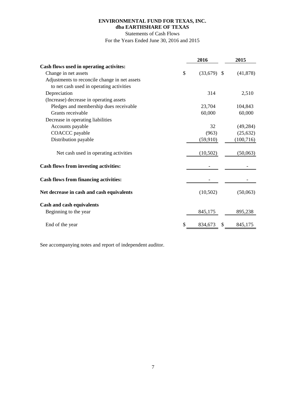# **ENVIRONMENTAL FUND FOR TEXAS, INC. dba EARTHSHARE OF TEXAS**

Statements of Cash Flows

For the Years Ended June 30, 2016 and 2015

|                                               | 2016                | 2015       |
|-----------------------------------------------|---------------------|------------|
| Cash flows used in operating activites:       |                     |            |
| Change in net assets                          | \$<br>$(33,679)$ \$ | (41, 878)  |
| Adjustments to reconcile change in net assets |                     |            |
| to net cash used in operating activities      |                     |            |
| Depreciation                                  | 314                 | 2,510      |
| (Increase) decrease in operating assets       |                     |            |
| Pledges and membership dues receivable        | 23,704              | 104,843    |
| Grants receivable                             | 60,000              | 60,000     |
| Decrease in operating liabilities             |                     |            |
| Accounts payable                              | 32                  | (49, 284)  |
| COACCC payable                                | (963)               | (25, 632)  |
| Distribution payable                          | (59, 910)           | (100, 716) |
| Net cash used in operating activities         | (10,502)            | (50,063)   |
| <b>Cash flows from investing activities:</b>  |                     |            |
| <b>Cash flows from financing activities:</b>  |                     |            |
| Net decrease in cash and cash equivalents     | (10,502)            | (50,063)   |
| Cash and cash equivalents                     |                     |            |
| Beginning to the year                         | 845,175             | 895,238    |
| End of the year                               | \$<br>834,673<br>\$ | 845,175    |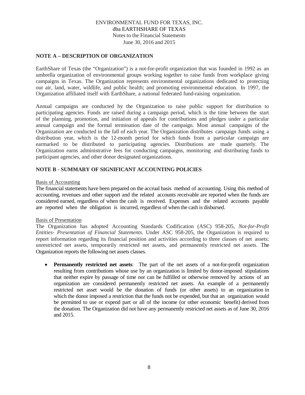# **NOTE A – DESCRIPTION OF ORGANIZATION**

EarthShare of Texas (the "Organization") is a not-for-profit organization that was founded in 1992 as an umbrella organization of environmental groups working together to raise funds from workplace giving campaigns in Texas. The Organization represents environmental organizations dedicated to protecting our air, land, water, wildlife, and public health; and promoting environmental education. In 1997, the Organization affiliated itself with EarthShare, a national federated fund-raising organization.

Annual campaigns are conducted by the Organization to raise public support for distribution to participating agencies. Funds are raised during a campaign period, which is the time between the start of the planning, promotion, and initiation of appeals for contributions and pledges under a particular annual campaign and the formal termination date of the campaign. Most annual campaigns of the Organization are conducted in the fall of each year. The Organization distributes campaign funds using a distribution year, which is the 12-month period for which funds from a particular campaign are earmarked to be distributed to participating agencies. Distributions are made quarterly. The Organization earns administrative fees for conducting campaigns, monitoring and distributing funds to participant agencies, and other donor designated organizations.

# **NOTE B - SUMMARY OF SIGNIFICANT ACCOUNTING POLICIES**

# Basis of Accounting

The financial statements have been prepared on the accrual basis method of accounting. Using this method of accounting, revenues and other support and the related accounts receivable are reported when the funds are considered earned, regardless of when the cash is received. Expenses and the related accounts payable are reported when the obligation is incurred, regardless of when the cash is disbursed.

### Basis of Presentation

The Organization has adopted Accounting Standards Codification (ASC) 958-205, *Not-for-Profit Entities- Presentation of Financial Statements*. Under ASC 958-205, the Organization is required to report information regarding its financial position and activities according to three classes of net assets: unrestricted net assets, temporarily restricted net assets, and permanently restricted net assets. The Organization reports the following net assets classes.

• **Permanently restricted net assets**: The part of the net assets of a not-for-profit organization resulting from contributions whose use by an organization is limited by donor-imposed stipulations that neither expire by passage of time nor can be fulfilled or otherwise removed by actions of an organization are considered permanently restricted net assets. An example of a permanently restricted net asset would be the donation of funds (or other assets) to an organization in which the donor imposed a restriction that the funds not be expended, but that an organization would be permitted to use or expend part or all of the income (or other economic benefit) derived from the donation. The Organization did not have any permanently restricted net assets as of June 30, 2016 and 2015.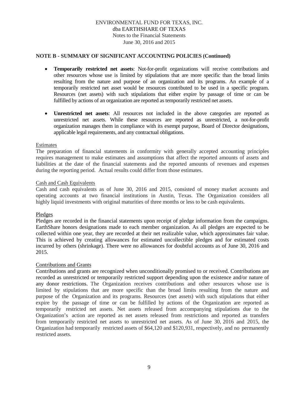# **NOTE B - SUMMARY OF SIGNIFICANT ACCOUNTING POLICIES (Continued)**

- **Temporarily restricted net assets**: Not-for-profit organizations will receive contributions and other resources whose use is limited by stipulations that are more specific than the broad limits resulting from the nature and purpose of an organization and its programs. An example of a temporarily restricted net asset would be resources contributed to be used in a specific program. Resources (net assets) with such stipulations that either expire by passage of time or can be fulfilled by actions of an organization are reported as temporarily restricted net assets.
- **Unrestricted net assets**: All resources not included in the above categories are reported as unrestricted net assets. While these resources are reported as unrestricted, a not-for-profit organization manages them in compliance with its exempt purpose, Board of Director designations, applicable legal requirements, and any contractual obligations.

### Estimates

The preparation of financial statements in conformity with generally accepted accounting principles requires management to make estimates and assumptions that affect the reported amounts of assets and liabilities at the date of the financial statements and the reported amounts of revenues and expenses during the reporting period. Actual results could differ from those estimates.

#### Cash and Cash Equivalents

Cash and cash equivalents as of June 30, 2016 and 2015, consisted of money market accounts and operating accounts at two financial institutions in Austin, Texas. The Organization considers all highly liquid investments with original maturities of three months or less to be cash equivalents.

### Pledges

Pledges are recorded in the financial statements upon receipt of pledge information from the campaigns. EarthShare honors designations made to each member organization. As all pledges are expected to be collected within one year, they are recorded at their net realizable value, which approximates fair value. This is achieved by creating allowances for estimated uncollectible pledges and for estimated costs incurred by others (shrinkage). There were no allowances for doubtful accounts as of June 30, 2016 and 2015.

### Contributions and Grants

Contributions and grants are recognized when unconditionally promised to or received. Contributions are recorded as unrestricted or temporarily restricted support depending upon the existence and/or nature of any donor restrictions. The Organization receives contributions and other resources whose use is limited by stipulations that are more specific than the broad limits resulting from the nature and purpose of the Organization and its programs. Resources (net assets) with such stipulations that either expire by the passage of time or can be fulfilled by actions of the Organization are reported as temporarily restricted net assets. Net assets released from accompanying stipulations due to the Organization's action are reported as net assets released from restrictions and reported as transfers from temporarily restricted net assets to unrestricted net assets. As of June 30, 2016 and 2015, the Organization had temporarily restricted assets of \$64,120 and \$120,931, respectively, and no permanently restricted assets.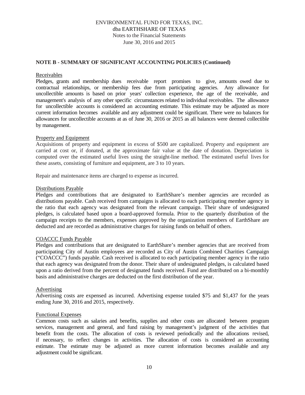# **NOTE B - SUMMARY OF SIGNIFICANT ACCOUNTING POLICIES (Continued)**

### Receivables

Pledges, grants and membership dues receivable report promises to give, amounts owed due to contractual relationships, or membership fees due from participating agencies. Any allowance for uncollectible amounts is based on prior years' collection experience, the age of the receivable, and management's analysis of any other specific circumstances related to individual receivables. The allowance for uncollectible accounts is considered an accounting estimate. This estimate may be adjusted as more current information becomes available and any adjustment could be significant. There were no balances for allowances for uncollectible accounts at as of June 30, 2016 or 2015 as all balances were deemed collectible by management.

### Property and Equipment

Acquisitions of property and equipment in excess of \$500 are capitalized. Property and equipment are carried at cost or, if donated, at the approximate fair value at the date of donation. Depreciation is computed over the estimated useful lives using the straight-line method. The estimated useful lives for these assets, consisting of furniture and equipment, are 3 to 10 years.

Repair and maintenance items are charged to expense as incurred.

#### Distributions Payable

Pledges and contributions that are designated to EarthShare's member agencies are recorded as distributions payable. Cash received from campaigns is allocated to each participating member agency in the ratio that each agency was designated from the relevant campaign. Their share of undesignated pledges, is calculated based upon a board-approved formula. Prior to the quarterly distribution of the campaign receipts to the members, expenses approved by the organization members of EarthShare are deducted and are recorded as administrative charges for raising funds on behalf of others.

### COACCC Funds Payable

Pledges and contributions that are designated to EarthShare's member agencies that are received from participating City of Austin employees are recorded as City of Austin Combined Charities Campaign ("COACCC") funds payable. Cash received is allocated to each participating member agency in the ratio that each agency was designated from the donor. Their share of undesignated pledges, is calculated based upon a ratio derived from the percent of designated funds received. Fund are distributed on a bi-monthly basis and administrative charges are deducted on the first distribution of the year.

# Advertising

Advertising costs are expensed as incurred. Advertising expense totaled \$75 and \$1,437 for the years ending June 30, 2016 and 2015, respectively.

### Functional Expenses

Common costs such as salaries and benefits, supplies and other costs are allocated between program services, management and general, and fund raising by management's judgment of the activities that benefit from the costs. The allocation of costs is reviewed periodically and the allocations revised, if necessary, to reflect changes in activities. The allocation of costs is considered an accounting estimate. The estimate may be adjusted as more current information becomes available and any adjustment could be significant.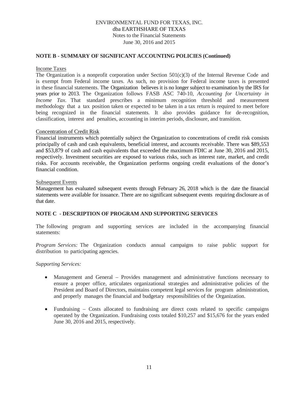# **NOTE B - SUMMARY OF SIGNIFICANT ACCOUNTING POLICIES (Continued)**

### Income Taxes

The Organization is a nonprofit corporation under Section  $501(c)(3)$  of the Internal Revenue Code and is exempt from Federal income taxes. As such, no provision for Federal income taxes is presented in these financial statements. The Organization believes it is no longer subject to examination by the IRS for years prior to 2013. The Organization follows FASB ASC 740-10, *Accounting for Uncertainty in Income Tax*. That standard prescribes a minimum recognition threshold and measurement methodology that a tax position taken or expected to be taken in a tax return is required to meet before being recognized in the financial statements. It also provides guidance for de-recognition, classification, interest and penalties, accounting in interim periods, disclosure, and transition.

#### Concentration of Credit Risk

Financial instruments which potentially subject the Organization to concentrations of credit risk consists principally of cash and cash equivalents, beneficial interest, and accounts receivable. There was \$89,553 and \$53,879 of cash and cash equivalents that exceeded the maximum FDIC at June 30, 2016 and 2015, respectively. Investment securities are exposed to various risks, such as interest rate, market, and credit risks. For accounts receivable, the Organization performs ongoing credit evaluations of the donor's financial condition.

#### Subsequent Events

Management has evaluated subsequent events through February 26, 2018 which is the date the financial statements were available for issuance. There are no significant subsequent events requiring disclosure as of that date.

# **NOTE C - DESCRIPTION OF PROGRAM AND SUPPORTING SERVICES**

The following program and supporting services are included in the accompanying financial statements:

*Program Services:* The Organization conducts annual campaigns to raise public support for distribution to participating agencies.

*Supporting Services:*

- Management and General Provides management and administrative functions necessary to ensure a proper office, articulates organizational strategies and administrative policies of the President and Board of Directors, maintains competent legal services for program administration, and properly manages the financial and budgetary responsibilities of the Organization.
- Fundraising Costs allocated to fundraising are direct costs related to specific campaigns operated by the Organization. Fundraising costs totaled \$10,257 and \$15,676 for the years ended June 30, 2016 and 2015, respectively.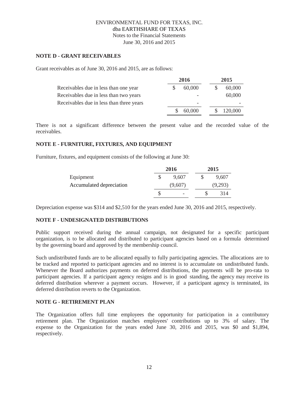# **NOTE D - GRANT RECEIVABLES**

Grant receivables as of June 30, 2016 and 2015, are as follows:

|                                          | 2016 |        | 2015 |         |  |
|------------------------------------------|------|--------|------|---------|--|
| Receivables due in less than one year    |      | 60,000 |      | 60,000  |  |
| Receivables due in less than two years   |      |        |      | 60,000  |  |
| Receivables due in less than three years |      |        |      |         |  |
|                                          |      | 60,000 |      | 120,000 |  |

There is not a significant difference between the present value and the recorded value of the receivables.

# **NOTE E - FURNITURE, FIXTURES, AND EQUIPMENT**

Furniture, fixtures, and equipment consists of the following at June 30:

|                          | 2016                     | 2015    |
|--------------------------|--------------------------|---------|
| Equipment                | 9.607                    | 9,607   |
| Accumulated depreciation | (9,607)                  | (9,293) |
|                          | $\overline{\phantom{a}}$ | 314     |

Depreciation expense was \$314 and \$2,510 for the years ended June 30, 2016 and 2015, respectively.

# **NOTE F - UNDESIGNATED DISTRIBUTIONS**

Public support received during the annual campaign, not designated for a specific participant organization, is to be allocated and distributed to participant agencies based on a formula determined by the governing board and approved by the membership council.

Such undistributed funds are to be allocated equally to fully participating agencies. The allocations are to be tracked and reported to participant agencies and no interest is to accumulate on undistributed funds. Whenever the Board authorizes payments on deferred distributions, the payments will be pro-rata to participant agencies. If a participant agency resigns and is in good standing, the agency may receive its deferred distribution wherever a payment occurs. However, if a participant agency is terminated, its deferred distribution reverts to the Organization.

# **NOTE G - RETIREMENT PLAN**

The Organization offers full time employees the opportunity for participation in a contributory retirement plan. The Organization matches employees' contributions up to 3% of salary. The expense to the Organization for the years ended June 30, 2016 and 2015, was \$0 and \$1,894, respectively.